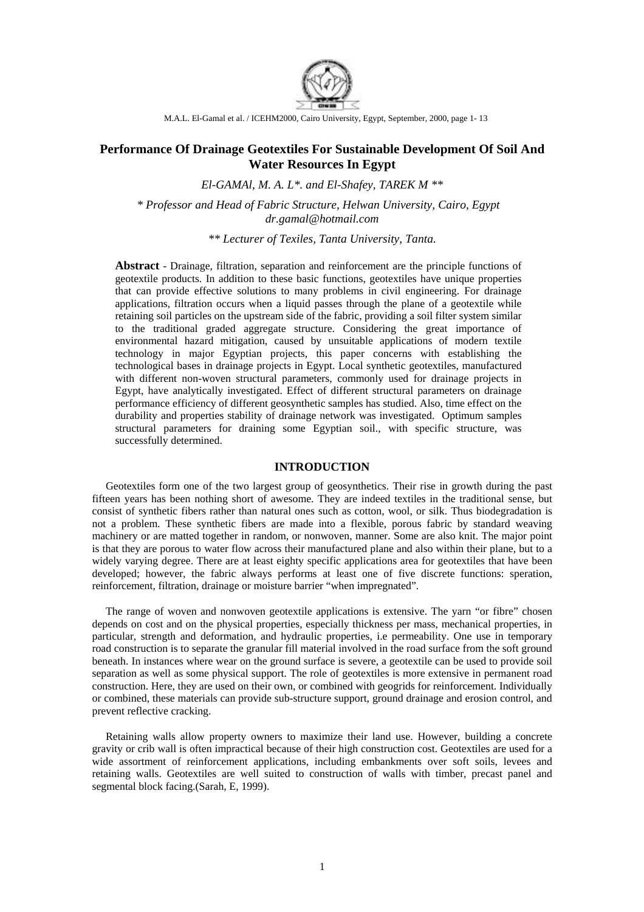

M.A.L. El-Gamal et al. / ICEHM2000, Cairo University, Egypt, September, 2000, page 1- 13

# **Performance Of Drainage Geotextiles For Sustainable Development Of Soil And Water Resources In Egypt**

*El-GAMAl, M. A. L\*. and El-Shafey, TAREK M \*\** 

*\* Professor and Head of Fabric Structure, Helwan University, Cairo, Egypt dr.gamal@hotmail.com* 

*\*\* Lecturer of Texiles, Tanta University, Tanta.* 

**Abstract** - Drainage, filtration, separation and reinforcement are the principle functions of geotextile products. In addition to these basic functions, geotextiles have unique properties that can provide effective solutions to many problems in civil engineering. For drainage applications, filtration occurs when a liquid passes through the plane of a geotextile while retaining soil particles on the upstream side of the fabric, providing a soil filter system similar to the traditional graded aggregate structure. Considering the great importance of environmental hazard mitigation, caused by unsuitable applications of modern textile technology in major Egyptian projects, this paper concerns with establishing the technological bases in drainage projects in Egypt. Local synthetic geotextiles, manufactured with different non-woven structural parameters, commonly used for drainage projects in Egypt, have analytically investigated. Effect of different structural parameters on drainage performance efficiency of different geosynthetic samples has studied. Also, time effect on the durability and properties stability of drainage network was investigated. Optimum samples structural parameters for draining some Egyptian soil., with specific structure, was successfully determined.

# **INTRODUCTION**

 Geotextiles form one of the two largest group of geosynthetics. Their rise in growth during the past fifteen years has been nothing short of awesome. They are indeed textiles in the traditional sense, but consist of synthetic fibers rather than natural ones such as cotton, wool, or silk. Thus biodegradation is not a problem. These synthetic fibers are made into a flexible, porous fabric by standard weaving machinery or are matted together in random, or nonwoven, manner. Some are also knit. The major point is that they are porous to water flow across their manufactured plane and also within their plane, but to a widely varying degree. There are at least eighty specific applications area for geotextiles that have been developed; however, the fabric always performs at least one of five discrete functions: speration, reinforcement, filtration, drainage or moisture barrier "when impregnated".

 The range of woven and nonwoven geotextile applications is extensive. The yarn "or fibre" chosen depends on cost and on the physical properties, especially thickness per mass, mechanical properties, in particular, strength and deformation, and hydraulic properties, i.e permeability. One use in temporary road construction is to separate the granular fill material involved in the road surface from the soft ground beneath. In instances where wear on the ground surface is severe, a geotextile can be used to provide soil separation as well as some physical support. The role of geotextiles is more extensive in permanent road construction. Here, they are used on their own, or combined with geogrids for reinforcement. Individually or combined, these materials can provide sub-structure support, ground drainage and erosion control, and prevent reflective cracking.

 Retaining walls allow property owners to maximize their land use. However, building a concrete gravity or crib wall is often impractical because of their high construction cost. Geotextiles are used for a wide assortment of reinforcement applications, including embankments over soft soils, levees and retaining walls. Geotextiles are well suited to construction of walls with timber, precast panel and segmental block facing.(Sarah, E, 1999).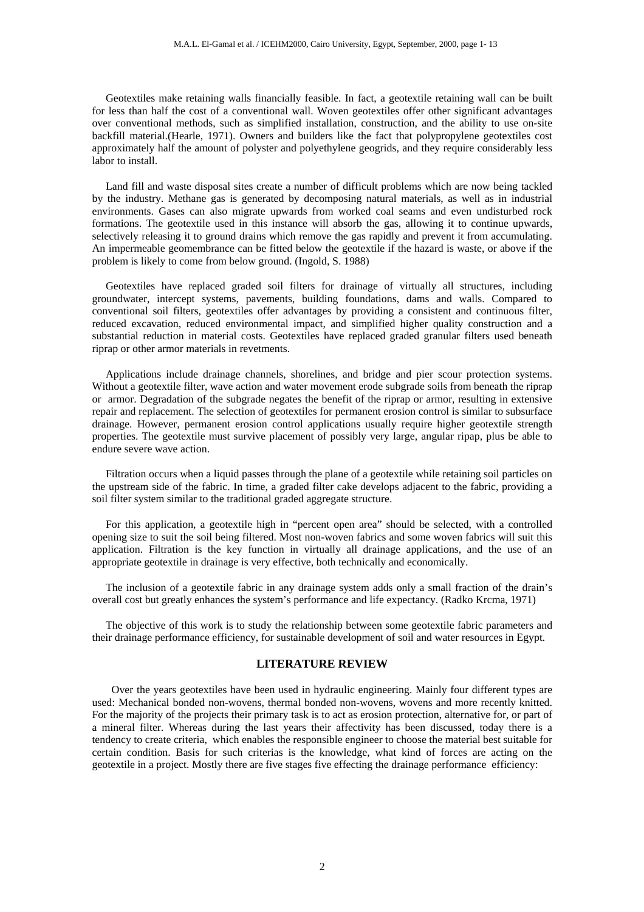Geotextiles make retaining walls financially feasible. In fact, a geotextile retaining wall can be built for less than half the cost of a conventional wall. Woven geotextiles offer other significant advantages over conventional methods, such as simplified installation, construction, and the ability to use on-site backfill material.(Hearle, 1971). Owners and builders like the fact that polypropylene geotextiles cost approximately half the amount of polyster and polyethylene geogrids, and they require considerably less labor to install.

 Land fill and waste disposal sites create a number of difficult problems which are now being tackled by the industry. Methane gas is generated by decomposing natural materials, as well as in industrial environments. Gases can also migrate upwards from worked coal seams and even undisturbed rock formations. The geotextile used in this instance will absorb the gas, allowing it to continue upwards, selectively releasing it to ground drains which remove the gas rapidly and prevent it from accumulating. An impermeable geomembrance can be fitted below the geotextile if the hazard is waste, or above if the problem is likely to come from below ground. (Ingold, S. 1988)

 Geotextiles have replaced graded soil filters for drainage of virtually all structures, including groundwater, intercept systems, pavements, building foundations, dams and walls. Compared to conventional soil filters, geotextiles offer advantages by providing a consistent and continuous filter, reduced excavation, reduced environmental impact, and simplified higher quality construction and a substantial reduction in material costs. Geotextiles have replaced graded granular filters used beneath riprap or other armor materials in revetments.

 Applications include drainage channels, shorelines, and bridge and pier scour protection systems. Without a geotextile filter, wave action and water movement erode subgrade soils from beneath the riprap or armor. Degradation of the subgrade negates the benefit of the riprap or armor, resulting in extensive repair and replacement. The selection of geotextiles for permanent erosion control is similar to subsurface drainage. However, permanent erosion control applications usually require higher geotextile strength properties. The geotextile must survive placement of possibly very large, angular ripap, plus be able to endure severe wave action.

 Filtration occurs when a liquid passes through the plane of a geotextile while retaining soil particles on the upstream side of the fabric. In time, a graded filter cake develops adjacent to the fabric, providing a soil filter system similar to the traditional graded aggregate structure.

 For this application, a geotextile high in "percent open area" should be selected, with a controlled opening size to suit the soil being filtered. Most non-woven fabrics and some woven fabrics will suit this application. Filtration is the key function in virtually all drainage applications, and the use of an appropriate geotextile in drainage is very effective, both technically and economically.

 The inclusion of a geotextile fabric in any drainage system adds only a small fraction of the drain's overall cost but greatly enhances the system's performance and life expectancy. (Radko Krcma, 1971)

 The objective of this work is to study the relationship between some geotextile fabric parameters and their drainage performance efficiency, for sustainable development of soil and water resources in Egypt.

# **LITERATURE REVIEW**

Over the years geotextiles have been used in hydraulic engineering. Mainly four different types are used: Mechanical bonded non-wovens, thermal bonded non-wovens, wovens and more recently knitted. For the majority of the projects their primary task is to act as erosion protection, alternative for, or part of a mineral filter. Whereas during the last years their affectivity has been discussed, today there is a tendency to create criteria, which enables the responsible engineer to choose the material best suitable for certain condition. Basis for such criterias is the knowledge, what kind of forces are acting on the geotextile in a project. Mostly there are five stages five effecting the drainage performance efficiency: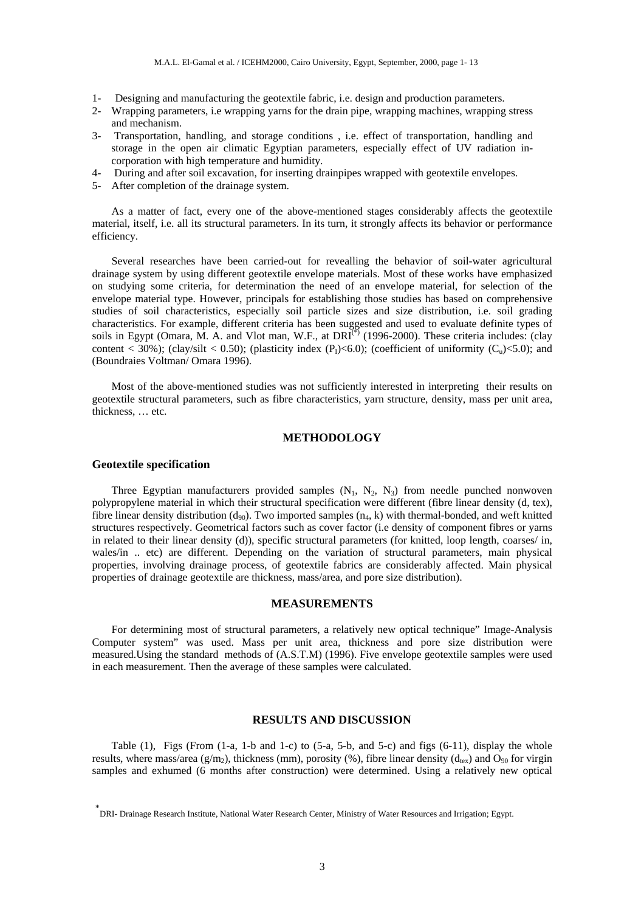- 1- Designing and manufacturing the geotextile fabric, i.e. design and production parameters.
- 2- Wrapping parameters, i.e wrapping yarns for the drain pipe, wrapping machines, wrapping stress and mechanism.
- 3- Transportation, handling, and storage conditions , i.e. effect of transportation, handling and storage in the open air climatic Egyptian parameters, especially effect of UV radiation incorporation with high temperature and humidity.
- 4- During and after soil excavation, for inserting drainpipes wrapped with geotextile envelopes.
- 5- After completion of the drainage system.

As a matter of fact, every one of the above-mentioned stages considerably affects the geotextile material, itself, i.e. all its structural parameters. In its turn, it strongly affects its behavior or performance efficiency.

Several researches have been carried-out for revealling the behavior of soil-water agricultural drainage system by using different geotextile envelope materials. Most of these works have emphasized on studying some criteria, for determination the need of an envelope material, for selection of the envelope material type. However, principals for establishing those studies has based on comprehensive studies of soil characteristics, especially soil particle sizes and size distribution, i.e. soil grading characteristics. For example, different criteria has been suggested and used to evaluate definite types of soils in Egypt (Omara, M. A. and Vlot man, W.F., at DRI<sup>(\*)</sup> (1996-2000). These criteria includes: (clay content < 30%); (clay/silt < 0.50); (plasticity index (P<sub>I</sub>)<6.0); (coefficient of uniformity (C<sub>u</sub>)<5.0); and (Boundraies Voltman/ Omara 1996).

Most of the above-mentioned studies was not sufficiently interested in interpreting their results on geotextile structural parameters, such as fibre characteristics, yarn structure, density, mass per unit area, thickness, … etc.

# **METHODOLOGY**

#### **Geotextile specification**

Three Egyptian manufacturers provided samples  $(N_1, N_2, N_3)$  from needle punched nonwoven polypropylene material in which their structural specification were different (fibre linear density (d, tex), fibre linear density distribution  $(d_{90})$ . Two imported samples  $(n_4, k)$  with thermal-bonded, and weft knitted structures respectively. Geometrical factors such as cover factor (i.e density of component fibres or yarns in related to their linear density (d)), specific structural parameters (for knitted, loop length, coarses/ in, wales/in .. etc) are different. Depending on the variation of structural parameters, main physical properties, involving drainage process, of geotextile fabrics are considerably affected. Main physical properties of drainage geotextile are thickness, mass/area, and pore size distribution).

## **MEASUREMENTS**

For determining most of structural parameters, a relatively new optical technique" Image-Analysis Computer system" was used. Mass per unit area, thickness and pore size distribution were measured.Using the standard methods of (A.S.T.M) (1996). Five envelope geotextile samples were used in each measurement. Then the average of these samples were calculated.

# **RESULTS AND DISCUSSION**

Table  $(1)$ , Figs (From  $(1-a, 1-b \text{ and } 1-c)$  to  $(5-a, 5-b, \text{ and } 5-c)$  and figs  $(6-11)$ , display the whole results, where mass/area (g/m<sub>2</sub>), thickness (mm), porosity (%), fibre linear density ( $d_{\text{lex}}$ ) and  $O_{90}$  for virgin samples and exhumed (6 months after construction) were determined. Using a relatively new optical

<sup>\*</sup> DRI- Drainage Research Institute, National Water Research Center, Ministry of Water Resources and Irrigation; Egypt.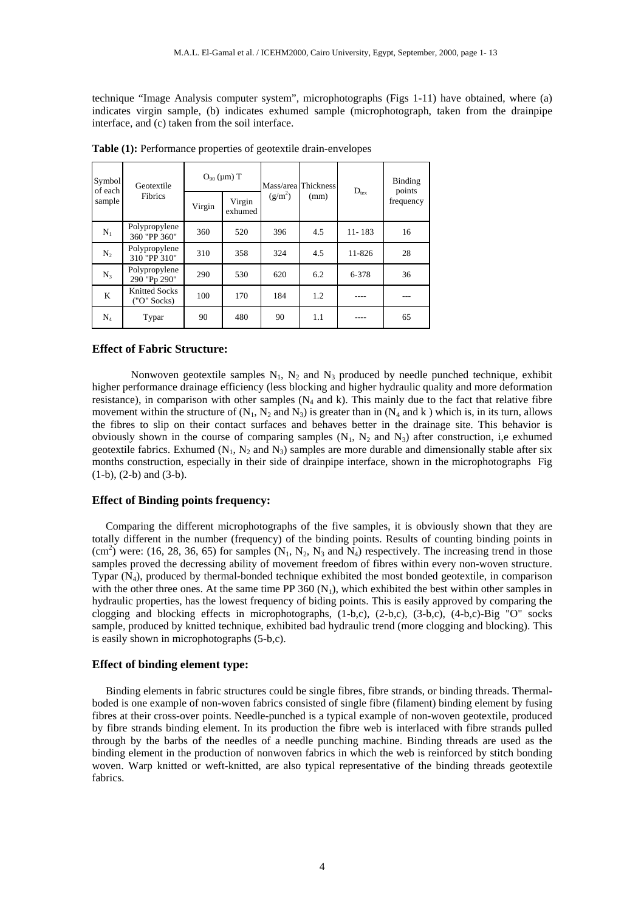technique "Image Analysis computer system", microphotographs (Figs 1-11) have obtained, where (a) indicates virgin sample, (b) indicates exhumed sample (microphotograph, taken from the drainpipe interface, and (c) taken from the soil interface.

| Symbol<br>of each<br>sample | Geotextile<br>Fibrics         | $O_{90} (\mu m) T$ |                   |           | Mass/area Thickness | $D_{\text{tex}}$ | <b>Binding</b><br>points |
|-----------------------------|-------------------------------|--------------------|-------------------|-----------|---------------------|------------------|--------------------------|
|                             |                               | Virgin             | Virgin<br>exhumed | $(g/m^2)$ | (mm)                |                  | frequency                |
| $N_1$                       | Polypropylene<br>360 "PP 360" | 360                | 520               | 396       | 4.5                 | $11 - 183$       | 16                       |
| $N_2$                       | Polypropylene<br>310 "PP 310" | 310                | 358               | 324       | 4.5                 | 11-826           | 28                       |
| $N_3$                       | Polypropylene<br>290 "Pp 290" | 290                | 530               | 620       | 6.2                 | 6-378            | 36                       |
| K                           | Knitted Socks<br>("O" Socks)  | 100                | 170               | 184       | 1.2                 |                  |                          |
| $\rm N_4$                   | Typar                         | 90                 | 480               | 90        | 1.1                 |                  | 65                       |

**Table (1):** Performance properties of geotextile drain-envelopes

### **Effect of Fabric Structure:**

Nonwoven geotextile samples  $N_1$ ,  $N_2$  and  $N_3$  produced by needle punched technique, exhibit higher performance drainage efficiency (less blocking and higher hydraulic quality and more deformation resistance), in comparison with other samples  $(N_4 \text{ and } k)$ . This mainly due to the fact that relative fibre movement within the structure of  $(N_1, N_2 \text{ and } N_3)$  is greater than in  $(N_4 \text{ and } k)$  which is, in its turn, allows the fibres to slip on their contact surfaces and behaves better in the drainage site. This behavior is obviously shown in the course of comparing samples  $(N_1, N_2, M_3)$  after construction, i,e exhumed geotextile fabrics. Exhumed ( $N_1$ ,  $N_2$  and  $N_3$ ) samples are more durable and dimensionally stable after six months construction, especially in their side of drainpipe interface, shown in the microphotographs Fig (1-b), (2-b) and (3-b).

# **Effect of Binding points frequency:**

 Comparing the different microphotographs of the five samples, it is obviously shown that they are totally different in the number (frequency) of the binding points. Results of counting binding points in  $(cm<sup>2</sup>)$  were: (16, 28, 36, 65) for samples  $(N_1, N_2, N_3$  and  $N_4)$  respectively. The increasing trend in those samples proved the decressing ability of movement freedom of fibres within every non-woven structure. Typar  $(N_4)$ , produced by thermal-bonded technique exhibited the most bonded geotextile, in comparison with the other three ones. At the same time PP  $360 \text{ (N}_1)$ , which exhibited the best within other samples in hydraulic properties, has the lowest frequency of biding points. This is easily approved by comparing the clogging and blocking effects in microphotographs, (1-b,c), (2-b,c), (3-b,c), (4-b,c)-Big "O" socks sample, produced by knitted technique, exhibited bad hydraulic trend (more clogging and blocking). This is easily shown in microphotographs (5-b,c).

# **Effect of binding element type:**

 Binding elements in fabric structures could be single fibres, fibre strands, or binding threads. Thermalboded is one example of non-woven fabrics consisted of single fibre (filament) binding element by fusing fibres at their cross-over points. Needle-punched is a typical example of non-woven geotextile, produced by fibre strands binding element. In its production the fibre web is interlaced with fibre strands pulled through by the barbs of the needles of a needle punching machine. Binding threads are used as the binding element in the production of nonwoven fabrics in which the web is reinforced by stitch bonding woven. Warp knitted or weft-knitted, are also typical representative of the binding threads geotextile fabrics.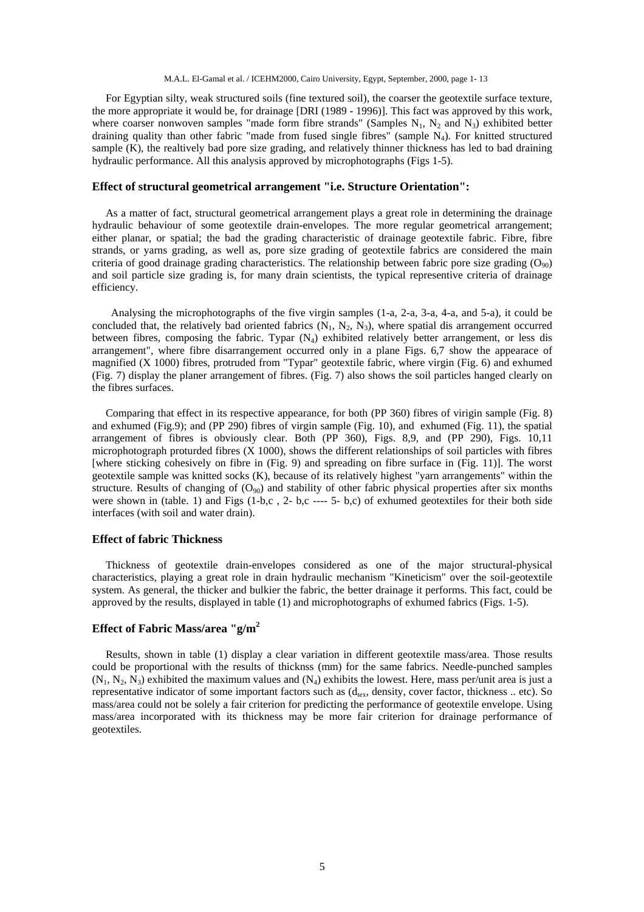For Egyptian silty, weak structured soils (fine textured soil), the coarser the geotextile surface texture, the more appropriate it would be, for drainage [DRI (1989 - 1996)]. This fact was approved by this work, where coarser nonwoven samples "made form fibre strands" (Samples  $N_1$ ,  $N_2$  and  $N_3$ ) exhibited better draining quality than other fabric "made from fused single fibres" (sample N<sub>4</sub>). For knitted structured sample (K), the realtively bad pore size grading, and relatively thinner thickness has led to bad draining hydraulic performance. All this analysis approved by microphotographs (Figs 1-5).

#### **Effect of structural geometrical arrangement "i.e. Structure Orientation":**

 As a matter of fact, structural geometrical arrangement plays a great role in determining the drainage hydraulic behaviour of some geotextile drain-envelopes. The more regular geometrical arrangement; either planar, or spatial; the bad the grading characteristic of drainage geotextile fabric. Fibre, fibre strands, or yarns grading, as well as, pore size grading of geotextile fabrics are considered the main criteria of good drainage grading characteristics. The relationship between fabric pore size grading  $(O_{90})$ and soil particle size grading is, for many drain scientists, the typical representive criteria of drainage efficiency.

 Analysing the microphotographs of the five virgin samples (1-a, 2-a, 3-a, 4-a, and 5-a), it could be concluded that, the relatively bad oriented fabrics  $(N_1, N_2, N_3)$ , where spatial dis arrangement occurred between fibres, composing the fabric. Typar  $(N_4)$  exhibited relatively better arrangement, or less dis arrangement", where fibre disarrangement occurred only in a plane Figs. 6,7 show the appearace of magnified (X 1000) fibres, protruded from "Typar" geotextile fabric, where virgin (Fig. 6) and exhumed (Fig. 7) display the planer arrangement of fibres. (Fig. 7) also shows the soil particles hanged clearly on the fibres surfaces.

 Comparing that effect in its respective appearance, for both (PP 360) fibres of virigin sample (Fig. 8) and exhumed (Fig.9); and (PP 290) fibres of virgin sample (Fig. 10), and exhumed (Fig. 11), the spatial arrangement of fibres is obviously clear. Both (PP 360), Figs. 8,9, and (PP 290), Figs. 10,11 microphotograph proturded fibres (X 1000), shows the different relationships of soil particles with fibres [where sticking cohesively on fibre in (Fig. 9) and spreading on fibre surface in (Fig. 11)]. The worst geotextile sample was knitted socks (K), because of its relatively highest "yarn arrangements" within the structure. Results of changing of  $(O_{90})$  and stability of other fabric physical properties after six months were shown in (table. 1) and Figs (1-b,c , 2- b,c ---- 5- b,c) of exhumed geotextiles for their both side interfaces (with soil and water drain).

## **Effect of fabric Thickness**

 Thickness of geotextile drain-envelopes considered as one of the major structural-physical characteristics, playing a great role in drain hydraulic mechanism "Kineticism" over the soil-geotextile system. As general, the thicker and bulkier the fabric, the better drainage it performs. This fact, could be approved by the results, displayed in table (1) and microphotographs of exhumed fabrics (Figs. 1-5).

# **Effect of Fabric Mass/area "g/m2**

 Results, shown in table (1) display a clear variation in different geotextile mass/area. Those results could be proportional with the results of thicknss (mm) for the same fabrics. Needle-punched samples  $(N_1, N_2, N_3)$  exhibited the maximum values and  $(N_4)$  exhibits the lowest. Here, mass per/unit area is just a representative indicator of some important factors such as (d<sub>tex</sub>, density, cover factor, thickness .. etc). So mass/area could not be solely a fair criterion for predicting the performance of geotextile envelope. Using mass/area incorporated with its thickness may be more fair criterion for drainage performance of geotextiles.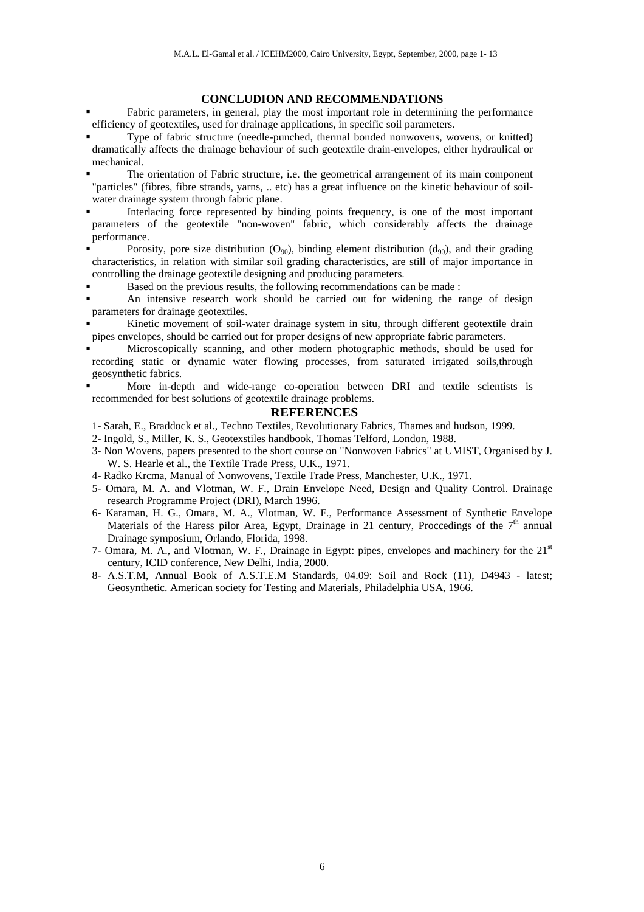## **CONCLUDION AND RECOMMENDATIONS**

- ! Fabric parameters, in general, play the most important role in determining the performance efficiency of geotextiles, used for drainage applications, in specific soil parameters.
- ! Type of fabric structure (needle-punched, thermal bonded nonwovens, wovens, or knitted) dramatically affects the drainage behaviour of such geotextile drain-envelopes, either hydraulical or mechanical.
- The orientation of Fabric structure, i.e. the geometrical arrangement of its main component "particles" (fibres, fibre strands, yarns, .. etc) has a great influence on the kinetic behaviour of soilwater drainage system through fabric plane.
- Interlacing force represented by binding points frequency, is one of the most important parameters of the geotextile "non-woven" fabric, which considerably affects the drainage performance.
- Porosity, pore size distribution  $(O_{90})$ , binding element distribution  $(d_{90})$ , and their grading characteristics, in relation with similar soil grading characteristics, are still of major importance in controlling the drainage geotextile designing and producing parameters.
- ! Based on the previous results, the following recommendations can be made :
- ! An intensive research work should be carried out for widening the range of design parameters for drainage geotextiles.
- ! Kinetic movement of soil-water drainage system in situ, through different geotextile drain pipes envelopes, should be carried out for proper designs of new appropriate fabric parameters.
- ! Microscopically scanning, and other modern photographic methods, should be used for recording static or dynamic water flowing processes, from saturated irrigated soils,through geosynthetic fabrics.
- ! More in-depth and wide-range co-operation between DRI and textile scientists is recommended for best solutions of geotextile drainage problems.

#### **REFERENCES**

- 1- Sarah, E., Braddock et al., Techno Textiles, Revolutionary Fabrics, Thames and hudson, 1999.
- 2- Ingold, S., Miller, K. S., Geotexstiles handbook, Thomas Telford, London, 1988.
- 3- Non Wovens, papers presented to the short course on "Nonwoven Fabrics" at UMIST, Organised by J. W. S. Hearle et al., the Textile Trade Press, U.K., 1971.
- 4- Radko Krcma, Manual of Nonwovens, Textile Trade Press, Manchester, U.K., 1971.
- 5- Omara, M. A. and Vlotman, W. F., Drain Envelope Need, Design and Quality Control. Drainage research Programme Project (DRI), March 1996.
- 6- Karaman, H. G., Omara, M. A., Vlotman, W. F., Performance Assessment of Synthetic Envelope Materials of the Haress pilor Area, Egypt, Drainage in 21 century, Proccedings of the  $7<sup>th</sup>$  annual Drainage symposium, Orlando, Florida, 1998.
- 7- Omara, M. A., and Vlotman, W. F., Drainage in Egypt: pipes, envelopes and machinery for the 21st century, ICID conference, New Delhi, India, 2000.
- 8- A.S.T.M, Annual Book of A.S.T.E.M Standards, 04.09: Soil and Rock (11), D4943 latest; Geosynthetic. American society for Testing and Materials, Philadelphia USA, 1966.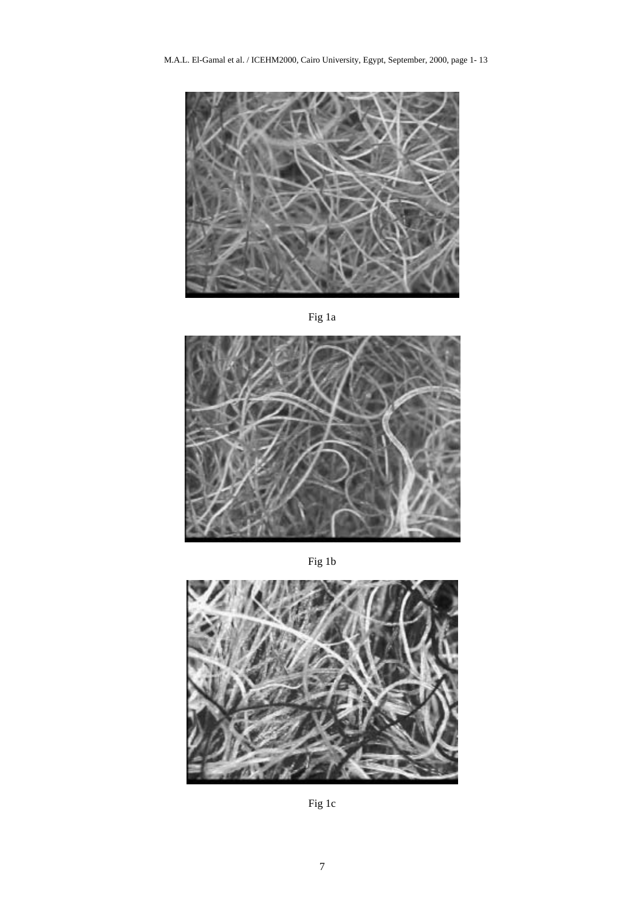

Fig 1a



Fig 1b



Fig 1c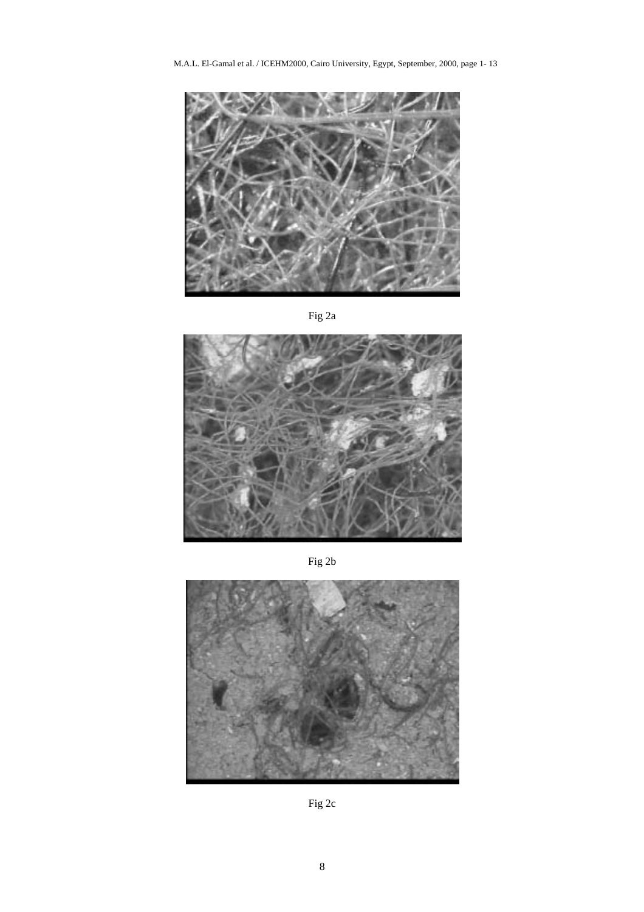M.A.L. El-Gamal et al. / ICEHM2000, Cairo University, Egypt, September, 2000, page 1- 13



Fig 2a



Fig 2b



Fig 2c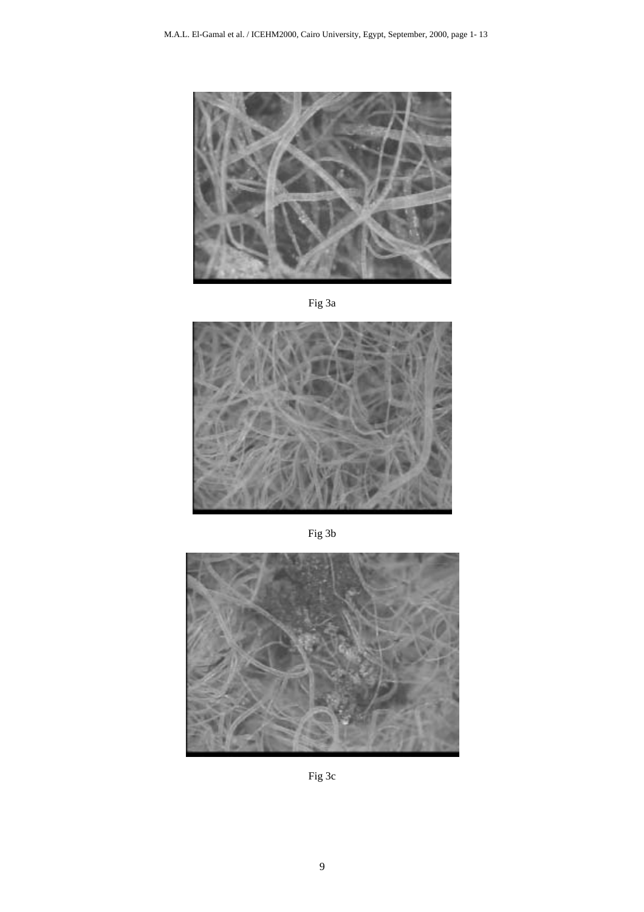

Fig 3a



Fig 3b



Fig 3c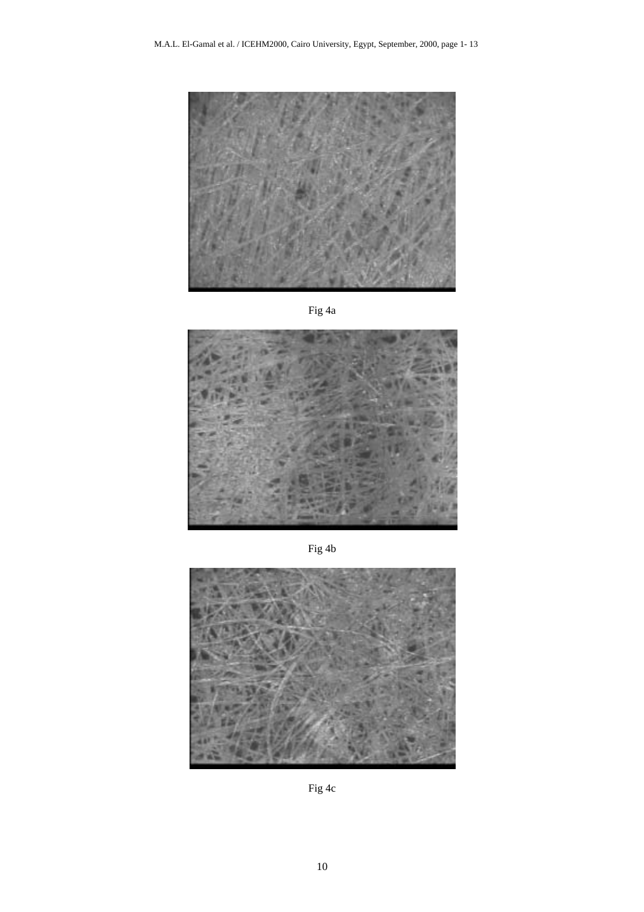

Fig 4a



Fig 4b



Fig 4c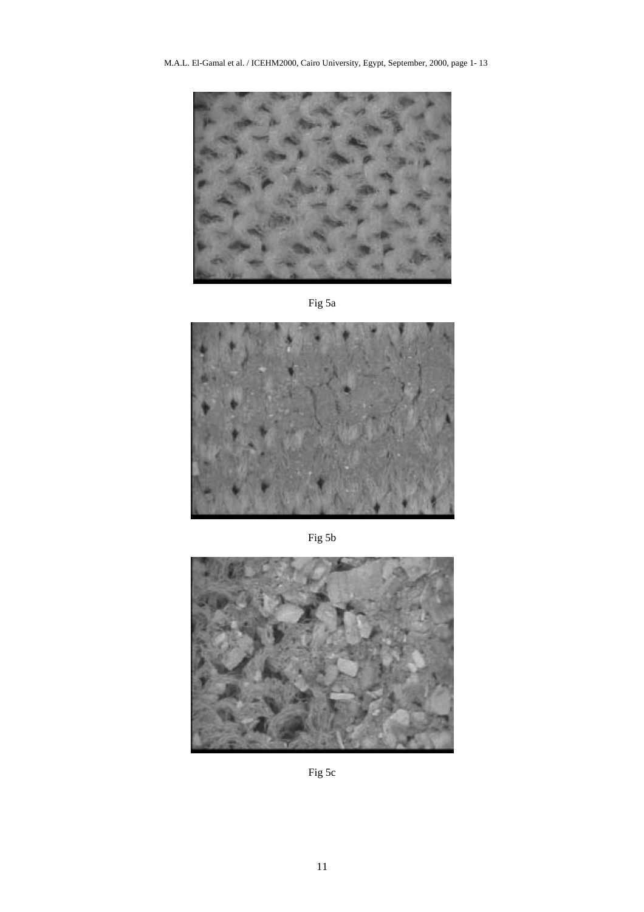M.A.L. El-Gamal et al. / ICEHM2000, Cairo University, Egypt, September, 2000, page 1- 13







Fig 5b



Fig 5c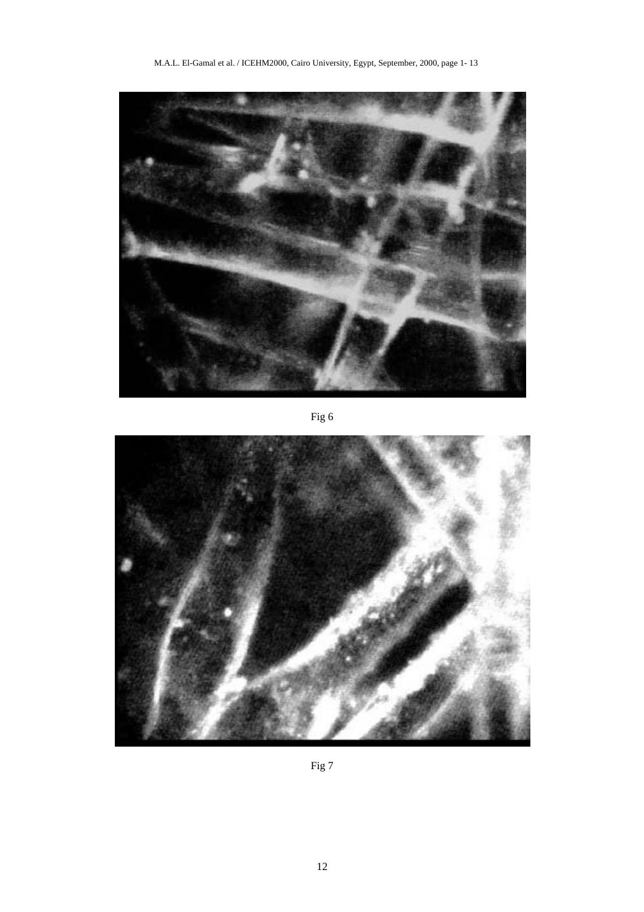

Fig 6



Fig 7